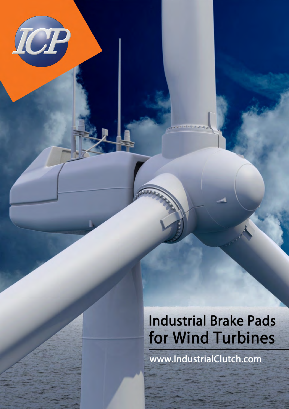www.IndustrialClutch.com

ICP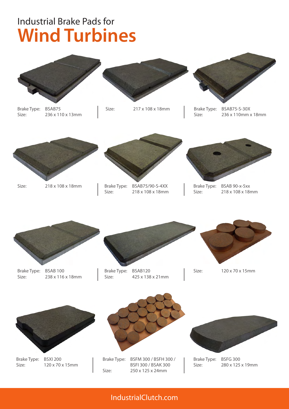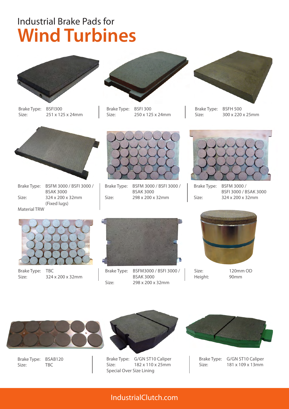

Brake Type: BSFI300 Size: 251 x 125 x 24mm



Brake Type: BSFI 300 Size: 250 x 125 x 24mm



Brake Type: BSFH 500 Size: 300 x 220 x 25mm



Brake Type: BSFM 3000 / BSFI 3000 / BSAK 3000 Size: 324 x 200 x 32mm (Fixed lugs) Material TRW



Brake Type: BSFM 3000 / BSFI 3000 / BSAK 3000 Size: 298 x 200 x 32mm



Brake Type: BSFM 3000 / BSFI 3000 / BSAK 3000 Size: 324 x 200 x 32mm



Brake Type: TBC Size: 324 x 200 x 32mm



Brake Type: BSFM3000 / BSFI 3000 / BSAK 3000 Size: 298 x 200 x 32mm



Height: 90mm

Size: 120mm OD



Brake Type: BSAB120 Size: TBC



Brake Type: G/GN ST10 Caliper Size: 182 x 110 x 25mm Special Over Size Lining



Brake Type: G/GN ST10 Caliper Size: 181 x 109 x 13mm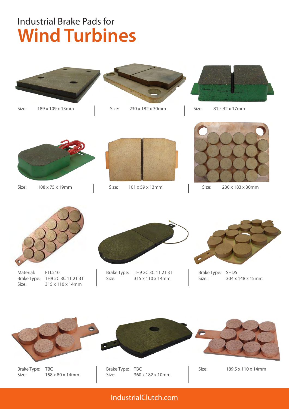

Size: 189 x 109 x 13mm



Size: 230 x 182 x 30mm



Size: 81 x 42 x 17mm



Size: 108 x 75 x 19mm



Size: 101 x 59 x 13mm



Size: 230 x 183 x 30mm



Material: FTL510 Brake Type: TH9 2C 3C 1T 2T 3T Size: 315 x 110 x 14mm



Brake Type: TH9 2C 3C 1T 2T 3T Size: 315 x 110 x 14mm



Brake Type: SHD5 Size: 304 x 148 x 15mm



Brake Type: TBC Size: 158 x 80 x 14mm

Brake Type: TBC Size: 360 x 182 x 10mm

Size: 189.5 x 110 x 14mm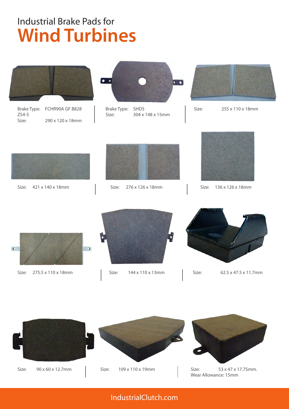

Brake Type: FCHR90A GF B828 ZS4-5 Size: 290 x 120 x 18mm



Brake Type: SHD5 Size: 304 x 148 x 15mm



Size: 255 x 110 x 18mm



Size: 421 x 140 x 18mm



Size: 276 x 126 x 18mm Size: 136 x 126 x 18mm





Size: 275.5 x 110 x 18mm



Size: 144 x 110 x 13mm



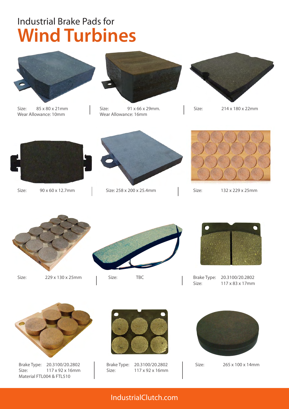

Size: 85 x 80 x 21mm Wear Allowance: 10mm



Size: 91 x 66 x 29mm. Wear Allowance: 16mm



Size: 214 x 180 x 22mm



Size: 90 x 60 x 12.7mm



Size: 258 x 200 x 25.4mm



Size: 132 x 229 x 25mm



Size: 229 x 130 x 25mm



Size: TBC



Brake Type: 20.3100/20.2802 Size: 117 x 83 x 17mm



Brake Type: 20.3100/20.2802 Size: 117 x 92 x 16mm Material FTL004 & FTL510



Brake Type: 20.3100/20.2802 Size: 117 x 92 x 16mm